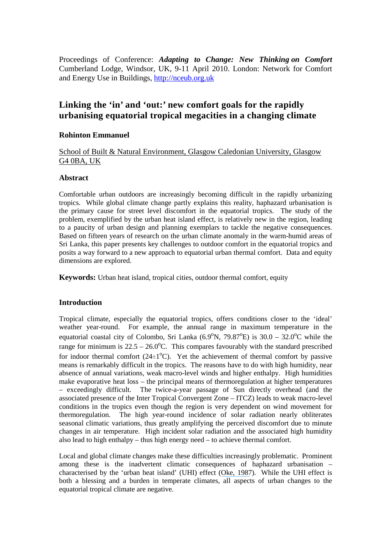Proceedings of Conference: *Adapting to Change: New Thinking on Comfort* Cumberland Lodge, Windsor, UK, 9-11 April 2010. London: Network for Comfort and Energy Use in Buildings, http://nceub.org.uk

# **Linking the 'in' and 'out:' new comfort goals for the rapidly urbanising equatorial tropical megacities in a changing climate**

# **Rohinton Emmanuel**

School of Built & Natural Environment, Glasgow Caledonian University, Glasgow G4 0BA, UK

#### **Abstract**

Comfortable urban outdoors are increasingly becoming difficult in the rapidly urbanizing tropics. While global climate change partly explains this reality, haphazard urbanisation is the primary cause for street level discomfort in the equatorial tropics. The study of the problem, exemplified by the urban heat island effect, is relatively new in the region, leading to a paucity of urban design and planning exemplars to tackle the negative consequences. Based on fifteen years of research on the urban climate anomaly in the warm-humid areas of Sri Lanka, this paper presents key challenges to outdoor comfort in the equatorial tropics and posits a way forward to a new approach to equatorial urban thermal comfort. Data and equity dimensions are explored.

**Keywords:** Urban heat island, tropical cities, outdoor thermal comfort, equity

### **Introduction**

Tropical climate, especially the equatorial tropics, offers conditions closer to the 'ideal' weather year-round. For example, the annual range in maximum temperature in the equatorial coastal city of Colombo, Sri Lanka  $(6.9^{\circ}N, 79.87^{\circ}E)$  is  $30.0 - 32.0^{\circ}C$  while the range for minimum is  $22.5 - 26.0^{\circ}$ C. This compares favourably with the standard prescribed for indoor thermal comfort  $(24\pm1<sup>o</sup>C)$ . Yet the achievement of thermal comfort by passive means is remarkably difficult in the tropics. The reasons have to do with high humidity, near absence of annual variations, weak macro-level winds and higher enthalpy. High humidities make evaporative heat loss – the principal means of thermoregulation at higher temperatures – exceedingly difficult. The twice-a-year passage of Sun directly overhead (and the associated presence of the Inter Tropical Convergent Zone – ITCZ) leads to weak macro-level conditions in the tropics even though the region is very dependent on wind movement for thermoregulation. The high year-round incidence of solar radiation nearly obliterates seasonal climatic variations, thus greatly amplifying the perceived discomfort due to minute changes in air temperature. High incident solar radiation and the associated high humidity also lead to high enthalpy – thus high energy need – to achieve thermal comfort.

Local and global climate changes make these difficulties increasingly problematic. Prominent among these is the inadvertent climatic consequences of haphazard urbanisation – characterised by the 'urban heat island' (UHI) effect ([Oke, 1987](https://www.researchgate.net/publication/51996820_Boundary_Layer_Climates?el=1_x_8&enrichId=rgreq-50240998-dfbc-4707-a7d9-cbafeef6038e&enrichSource=Y292ZXJQYWdlOzI2ODIyMTE4MTtBUzoxNjM0MTU1NTMyMjQ3MDVAMTQxNTk3MjcxMjEzOQ==)). While the UHI effect is both a blessing and a burden in temperate climates, all aspects of urban changes to the equatorial tropical climate are negative.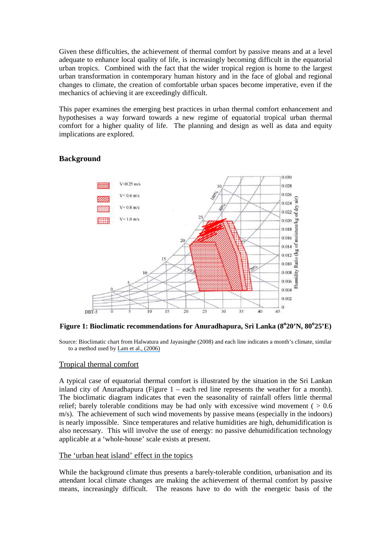Given these difficulties, the achievement of thermal comfort by passive means and at a level adequate to enhance local quality of life, is increasingly becoming difficult in the equatorial urban tropics. Combined with the fact that the wider tropical region is home to the largest urban transformation in contemporary human history and in the face of global and regional changes to climate, the creation of comfortable urban spaces become imperative, even if the mechanics of achieving it are exceedingly difficult.

This paper examines the emerging best practices in urban thermal comfort enhancement and hypothesises a way forward towards a new regime of equatorial tropical urban thermal comfort for a higher quality of life. The planning and design as well as data and equity implications are explored.

# **Background**



**Figure 1: Bioclimatic recommendations for Anuradhapura, Sri Lanka (8<sup>o</sup> 20'N, 80<sup>o</sup> 25'E)** 

Source: Bioclimatic chart from Halwatura and Jayasinghe (2008) and each line indicates a month's climate, similar to a method used by [Lam et al., \(2006\)](https://www.researchgate.net/publication/222241854_Development_of_passive_design_zones_in_China_using_bioclimatic_approach?el=1_x_8&enrichId=rgreq-50240998-dfbc-4707-a7d9-cbafeef6038e&enrichSource=Y292ZXJQYWdlOzI2ODIyMTE4MTtBUzoxNjM0MTU1NTMyMjQ3MDVAMTQxNTk3MjcxMjEzOQ==) 

# Tropical thermal comfort

A typical case of equatorial thermal comfort is illustrated by the situation in the Sri Lankan inland city of Anuradhapura (Figure 1 – each red line represents the weather for a month). The bioclimatic diagram indicates that even the seasonality of rainfall offers little thermal relief; barely tolerable conditions may be had only with excessive wind movement ( $> 0.6$ ) m/s). The achievement of such wind movements by passive means (especially in the indoors) is nearly impossible. Since temperatures and relative humidities are high, dehumidification is also necessary. This will involve the use of energy: no passive dehumidification technology applicable at a 'whole-house' scale exists at present.

### The 'urban heat island' effect in the topics

While the background climate thus presents a barely-tolerable condition, urbanisation and its attendant local climate changes are making the achievement of thermal comfort by passive means, increasingly difficult. The reasons have to do with the energetic basis of the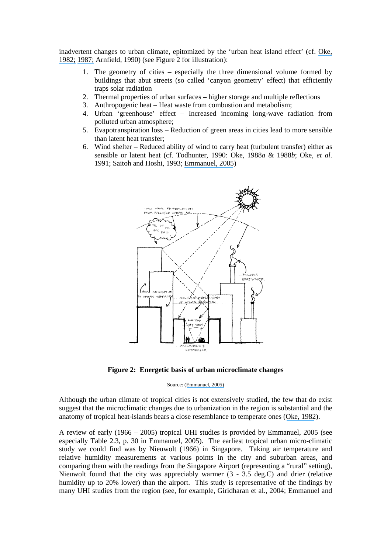inadvertent changes to urban climate, epitomized by the 'urban heat island effect' (cf. [Oke,](https://www.researchgate.net/publication/229724544_The_energetic_basis_of_urban_heat_island?el=1_x_8&enrichId=rgreq-50240998-dfbc-4707-a7d9-cbafeef6038e&enrichSource=Y292ZXJQYWdlOzI2ODIyMTE4MTtBUzoxNjM0MTU1NTMyMjQ3MDVAMTQxNTk3MjcxMjEzOQ==) [1982;](https://www.researchgate.net/publication/229724544_The_energetic_basis_of_urban_heat_island?el=1_x_8&enrichId=rgreq-50240998-dfbc-4707-a7d9-cbafeef6038e&enrichSource=Y292ZXJQYWdlOzI2ODIyMTE4MTtBUzoxNjM0MTU1NTMyMjQ3MDVAMTQxNTk3MjcxMjEzOQ==) [1987;](https://www.researchgate.net/publication/51996820_Boundary_Layer_Climates?el=1_x_8&enrichId=rgreq-50240998-dfbc-4707-a7d9-cbafeef6038e&enrichSource=Y292ZXJQYWdlOzI2ODIyMTE4MTtBUzoxNjM0MTU1NTMyMjQ3MDVAMTQxNTk3MjcxMjEzOQ==) Arnfield, 1990) (see Figure 2 for illustration):

- 1. The geometry of cities especially the three dimensional volume formed by buildings that abut streets (so called 'canyon geometry' effect) that efficiently traps solar radiation
- 2. Thermal properties of urban surfaces higher storage and multiple reflections
- 3. Anthropogenic heat Heat waste from combustion and metabolism;
- 4. Urban 'greenhouse' effect Increased incoming long-wave radiation from polluted urban atmosphere;
- 5. Evapotranspiration loss Reduction of green areas in cities lead to more sensible than latent heat transfer;
- 6. Wind shelter Reduced ability of wind to carry heat (turbulent transfer) either as sensible or latent heat (cf. Todhunter, 1990: Oke, 1988*a* [& 1988](https://www.researchgate.net/publication/223319151_Street_design_and_urban_canopy_layer_climate?el=1_x_8&enrichId=rgreq-50240998-dfbc-4707-a7d9-cbafeef6038e&enrichSource=Y292ZXJQYWdlOzI2ODIyMTE4MTtBUzoxNjM0MTU1NTMyMjQ3MDVAMTQxNTk3MjcxMjEzOQ==)*b*; Oke, *et al*. 1991; Saitoh and Hoshi, 1993; [Emmanuel, 2005](https://www.researchgate.net/publication/259458623_An_Urban_Approach_to_Climate_Sensitive_Design_Strategies_for_the_Tropics?el=1_x_8&enrichId=rgreq-50240998-dfbc-4707-a7d9-cbafeef6038e&enrichSource=Y292ZXJQYWdlOzI2ODIyMTE4MTtBUzoxNjM0MTU1NTMyMjQ3MDVAMTQxNTk3MjcxMjEzOQ==))



**Figure 2: Energetic basis of urban microclimate changes** 

Source: ([Emmanuel, 2005\)](https://www.researchgate.net/publication/259458623_An_Urban_Approach_to_Climate_Sensitive_Design_Strategies_for_the_Tropics?el=1_x_8&enrichId=rgreq-50240998-dfbc-4707-a7d9-cbafeef6038e&enrichSource=Y292ZXJQYWdlOzI2ODIyMTE4MTtBUzoxNjM0MTU1NTMyMjQ3MDVAMTQxNTk3MjcxMjEzOQ==) 

Although the urban climate of tropical cities is not extensively studied, the few that do exist suggest that the microclimatic changes due to urbanization in the region is substantial and the anatomy of tropical heat-islands bears a close resemblance to temperate ones ([Oke, 1982](https://www.researchgate.net/publication/229724544_The_energetic_basis_of_urban_heat_island?el=1_x_8&enrichId=rgreq-50240998-dfbc-4707-a7d9-cbafeef6038e&enrichSource=Y292ZXJQYWdlOzI2ODIyMTE4MTtBUzoxNjM0MTU1NTMyMjQ3MDVAMTQxNTk3MjcxMjEzOQ==)).

A review of early (1966 – 2005) tropical UHI studies is provided by Emmanuel, 2005 (see especially Table 2.3, p. 30 in Emmanuel, 2005). The earliest tropical urban micro-climatic study we could find was by Nieuwolt (1966) in Singapore. Taking air temperature and relative humidity measurements at various points in the city and suburban areas, and comparing them with the readings from the Singapore Airport (representing a "rural" setting), Nieuwolt found that the city was appreciably warmer (3 - 3.5 deg.C) and drier (relative humidity up to 20% lower) than the airport. This study is representative of the findings by many UHI studies from the region (see, for example, Giridharan et al., 2004; Emmanuel and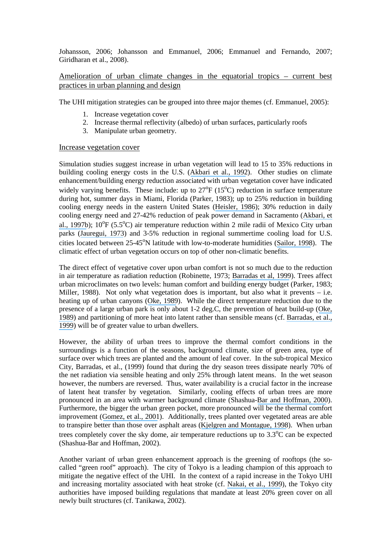Johansson, 2006; Johansson and Emmanuel, 2006; Emmanuel and Fernando, 2007; Giridharan et al., 2008).

Amelioration of urban climate changes in the equatorial tropics – current best practices in urban planning and design

The UHI mitigation strategies can be grouped into three major themes (cf. Emmanuel, 2005):

- 1. Increase vegetation cover
- 2. Increase thermal reflectivity (albedo) of urban surfaces, particularly roofs
- 3. Manipulate urban geometry.

#### Increase vegetation cover

Simulation studies suggest increase in urban vegetation will lead to 15 to 35% reductions in building cooling energy costs in the U.S. ([Akbari et al., 1992](https://www.researchgate.net/publication/236464814_Cooling_Our_Communities_A_Guidebook_on_Tree_Planting_and_Light-Colored_Surfacing?el=1_x_8&enrichId=rgreq-50240998-dfbc-4707-a7d9-cbafeef6038e&enrichSource=Y292ZXJQYWdlOzI2ODIyMTE4MTtBUzoxNjM0MTU1NTMyMjQ3MDVAMTQxNTk3MjcxMjEzOQ==)). Other studies on climate enhancement/building energy reduction associated with urban vegetation cover have indicated widely varying benefits. These include: up to  $27^{\circ}F$  (15 $^{\circ}C$ ) reduction in surface temperature during hot, summer days in Miami, Florida (Parker, 1983); up to 25% reduction in building cooling energy needs in the eastern United States ([Heisler, 1986](https://www.researchgate.net/publication/223943333_Effects_of_Individual_Trees_on_the_Solar_Radiation_Climate_of_Small_Buildings?el=1_x_8&enrichId=rgreq-50240998-dfbc-4707-a7d9-cbafeef6038e&enrichSource=Y292ZXJQYWdlOzI2ODIyMTE4MTtBUzoxNjM0MTU1NTMyMjQ3MDVAMTQxNTk3MjcxMjEzOQ==)); 30% reduction in daily cooling energy need and 27-42% reduction of peak power demand in Sacramento ([Akbari, et](https://www.researchgate.net/publication/222597005_Peak_power_and_cooling_energy_savings_of_shade_trees?el=1_x_8&enrichId=rgreq-50240998-dfbc-4707-a7d9-cbafeef6038e&enrichSource=Y292ZXJQYWdlOzI2ODIyMTE4MTtBUzoxNjM0MTU1NTMyMjQ3MDVAMTQxNTk3MjcxMjEzOQ==)  [al., 1997b](https://www.researchgate.net/publication/222597005_Peak_power_and_cooling_energy_savings_of_shade_trees?el=1_x_8&enrichId=rgreq-50240998-dfbc-4707-a7d9-cbafeef6038e&enrichSource=Y292ZXJQYWdlOzI2ODIyMTE4MTtBUzoxNjM0MTU1NTMyMjQ3MDVAMTQxNTk3MjcxMjEzOQ==));  $10^{\circ}F$  (5.5°C) air temperature reduction within 2 mile radii of Mexico City urban parks ([Jauregui, 1973](https://www.researchgate.net/publication/34414326_Untersuchungen_zum_Stadtklima_von_Mexiko-Stadt?el=1_x_8&enrichId=rgreq-50240998-dfbc-4707-a7d9-cbafeef6038e&enrichSource=Y292ZXJQYWdlOzI2ODIyMTE4MTtBUzoxNjM0MTU1NTMyMjQ3MDVAMTQxNTk3MjcxMjEzOQ==)) and 3-5% reduction in regional summertime cooling load for U.S. cities located between  $25-45^{\circ}N$  latitude with low-to-moderate humidities ([Sailor, 1998](https://www.researchgate.net/publication/252969335_Simulations_of_Annual_Degree_Day_Impacts_of_Urban_Vegetative_Augmentation?el=1_x_8&enrichId=rgreq-50240998-dfbc-4707-a7d9-cbafeef6038e&enrichSource=Y292ZXJQYWdlOzI2ODIyMTE4MTtBUzoxNjM0MTU1NTMyMjQ3MDVAMTQxNTk3MjcxMjEzOQ==)). The climatic effect of urban vegetation occurs on top of other non-climatic benefits.

The direct effect of vegetative cover upon urban comfort is not so much due to the reduction in air temperature as radiation reduction (Robinette, 1973; [Barradas et al, 1999](https://www.researchgate.net/publication/223233987_Energy_balance_measurements_in_a_suburban_vegetated_area_in_Mexico_City?el=1_x_8&enrichId=rgreq-50240998-dfbc-4707-a7d9-cbafeef6038e&enrichSource=Y292ZXJQYWdlOzI2ODIyMTE4MTtBUzoxNjM0MTU1NTMyMjQ3MDVAMTQxNTk3MjcxMjEzOQ==)). Trees affect urban microclimates on two levels: human comfort and building energy budget (Parker, 1983; Miller, 1988). Not only what vegetation does is important, but also what it prevents  $-$  i.e. heating up of urban canyons ([Oke, 1989](https://www.researchgate.net/publication/288950272_The_micrometeorology_of_the_urban_forest?el=1_x_8&enrichId=rgreq-50240998-dfbc-4707-a7d9-cbafeef6038e&enrichSource=Y292ZXJQYWdlOzI2ODIyMTE4MTtBUzoxNjM0MTU1NTMyMjQ3MDVAMTQxNTk3MjcxMjEzOQ==)). While the direct temperature reduction due to the presence of a large urban park is only about 1-2 deg.C, the prevention of heat build-up ([Oke,](https://www.researchgate.net/publication/288950272_The_micrometeorology_of_the_urban_forest?el=1_x_8&enrichId=rgreq-50240998-dfbc-4707-a7d9-cbafeef6038e&enrichSource=Y292ZXJQYWdlOzI2ODIyMTE4MTtBUzoxNjM0MTU1NTMyMjQ3MDVAMTQxNTk3MjcxMjEzOQ==) [1989](https://www.researchgate.net/publication/288950272_The_micrometeorology_of_the_urban_forest?el=1_x_8&enrichId=rgreq-50240998-dfbc-4707-a7d9-cbafeef6038e&enrichSource=Y292ZXJQYWdlOzI2ODIyMTE4MTtBUzoxNjM0MTU1NTMyMjQ3MDVAMTQxNTk3MjcxMjEzOQ==)) and partitioning of more heat into latent rather than sensible means (cf. [Barradas, et al.,](https://www.researchgate.net/publication/223233987_Energy_balance_measurements_in_a_suburban_vegetated_area_in_Mexico_City?el=1_x_8&enrichId=rgreq-50240998-dfbc-4707-a7d9-cbafeef6038e&enrichSource=Y292ZXJQYWdlOzI2ODIyMTE4MTtBUzoxNjM0MTU1NTMyMjQ3MDVAMTQxNTk3MjcxMjEzOQ==) [1999](https://www.researchgate.net/publication/223233987_Energy_balance_measurements_in_a_suburban_vegetated_area_in_Mexico_City?el=1_x_8&enrichId=rgreq-50240998-dfbc-4707-a7d9-cbafeef6038e&enrichSource=Y292ZXJQYWdlOzI2ODIyMTE4MTtBUzoxNjM0MTU1NTMyMjQ3MDVAMTQxNTk3MjcxMjEzOQ==)) will be of greater value to urban dwellers.

However, the ability of urban trees to improve the thermal comfort conditions in the surroundings is a function of the seasons, background climate, size of green area, type of surface over which trees are planted and the amount of leaf cover. In the sub-tropical Mexico City, Barradas, et al., (1999) found that during the dry season trees dissipate nearly 70% of the net radiation via sensible heating and only 25% through latent means. In the wet season however, the numbers are reversed. Thus, water availability is a crucial factor in the increase of latent heat transfer by vegetation. Similarly, cooling effects of urban trees are more pronounced in an area with warmer background climate (Shashua-[Bar and Hoffman, 2000](https://www.researchgate.net/publication/222709023_Vegetation_as_a_climatic_component_in_the_design_of_an_urban_street_An_empirical_model_for_predicting_the_cooling_effect_of_urban_green_areas_with_trees?el=1_x_8&enrichId=rgreq-50240998-dfbc-4707-a7d9-cbafeef6038e&enrichSource=Y292ZXJQYWdlOzI2ODIyMTE4MTtBUzoxNjM0MTU1NTMyMjQ3MDVAMTQxNTk3MjcxMjEzOQ==)). Furthermore, the bigger the urban green pocket, more pronounced will be the thermal comfort improvement ([Gomez, et al., 2001](https://www.researchgate.net/publication/222733918_Green_zones_bioclimatic_studies_and_human_comfort_in_the_future_development_of_urban_planning?el=1_x_8&enrichId=rgreq-50240998-dfbc-4707-a7d9-cbafeef6038e&enrichSource=Y292ZXJQYWdlOzI2ODIyMTE4MTtBUzoxNjM0MTU1NTMyMjQ3MDVAMTQxNTk3MjcxMjEzOQ==)). Additionally, trees planted over vegetated areas are able to transpire better than those over asphalt areas ([Kjelgren and Montague, 1998](https://www.researchgate.net/publication/257522507_Urban_tree_transpiration_over_turf_and_asphalt_surfaces?el=1_x_8&enrichId=rgreq-50240998-dfbc-4707-a7d9-cbafeef6038e&enrichSource=Y292ZXJQYWdlOzI2ODIyMTE4MTtBUzoxNjM0MTU1NTMyMjQ3MDVAMTQxNTk3MjcxMjEzOQ==)). When urban trees completely cover the sky dome, air temperature reductions up to  $3.3^{\circ}$ C can be expected (Shashua-Bar and Hoffman, 2002).

Another variant of urban green enhancement approach is the greening of rooftops (the socalled "green roof" approach). The city of Tokyo is a leading champion of this approach to mitigate the negative effect of the UHI. In the context of a rapid increase in the Tokyo UHI and increasing mortality associated with heat stroke (cf. [Nakai, et al., 1999](https://www.researchgate.net/publication/12674406_Deaths_from_heat-stroke_in_Japan_1968-1994?el=1_x_8&enrichId=rgreq-50240998-dfbc-4707-a7d9-cbafeef6038e&enrichSource=Y292ZXJQYWdlOzI2ODIyMTE4MTtBUzoxNjM0MTU1NTMyMjQ3MDVAMTQxNTk3MjcxMjEzOQ==)), the Tokyo city authorities have imposed building regulations that mandate at least 20% green cover on all newly built structures (cf. Tanikawa, 2002).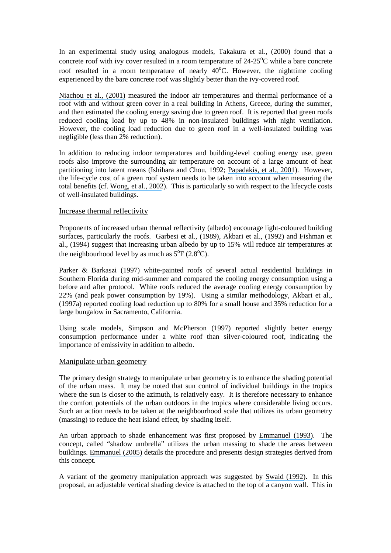In an experimental study using analogous models, Takakura et al., (2000) found that a concrete roof with ivy cover resulted in a room temperature of  $24-25^{\circ}$ C while a bare concrete roof resulted in a room temperature of nearly  $40^{\circ}$ C. However, the nighttime cooling experienced by the bare concrete roof was slightly better than the ivy-covered roof.

[Niachou et al., \(2001\)](https://www.researchgate.net/publication/223597230_Analysis_of_the_Green_Roof_Thermal_Properties_and_Investigation_of_its_Energy_Performance?el=1_x_8&enrichId=rgreq-50240998-dfbc-4707-a7d9-cbafeef6038e&enrichSource=Y292ZXJQYWdlOzI2ODIyMTE4MTtBUzoxNjM0MTU1NTMyMjQ3MDVAMTQxNTk3MjcxMjEzOQ==) measured the indoor air temperatures and thermal performance of a roof with and without green cover in a real building in Athens, Greece, during the summer, and then estimated the cooling energy saving due to green roof. It is reported that green roofs reduced cooling load by up to 48% in non-insulated buildings with night ventilation. However, the cooling load reduction due to green roof in a well-insulated building was negligible (less than 2% reduction).

In addition to reducing indoor temperatures and building-level cooling energy use, green roofs also improve the surrounding air temperature on account of a large amount of heat partitioning into latent means (Ishihara and Chou, 1992; [Papadakis, et al., 2001](https://www.researchgate.net/publication/222517003_An_experimental_investigation_of_the_effect_of_shading_with_plants_for_solar_control_of_buildings?el=1_x_8&enrichId=rgreq-50240998-dfbc-4707-a7d9-cbafeef6038e&enrichSource=Y292ZXJQYWdlOzI2ODIyMTE4MTtBUzoxNjM0MTU1NTMyMjQ3MDVAMTQxNTk3MjcxMjEzOQ==)). However, the life-cycle cost of a green roof system needs to be taken into account when measuring the total benefits (cf. [Wong, et al., 2002](https://www.researchgate.net/publication/239360374_Thermal_comfort_evaluation_of_naturally_ventilated_public_housing_in_Singapore?el=1_x_8&enrichId=rgreq-50240998-dfbc-4707-a7d9-cbafeef6038e&enrichSource=Y292ZXJQYWdlOzI2ODIyMTE4MTtBUzoxNjM0MTU1NTMyMjQ3MDVAMTQxNTk3MjcxMjEzOQ==)). This is particularly so with respect to the lifecycle costs of well-insulated buildings.

### Increase thermal reflectivity

Proponents of increased urban thermal reflectivity (albedo) encourage light-coloured building surfaces, particularly the roofs. Garbesi et al., (1989), Akbari et al., (1992) and Fishman et al., (1994) suggest that increasing urban albedo by up to 15% will reduce air temperatures at the neighbourhood level by as much as  $5^{\circ}F(2.8^{\circ}C)$ .

Parker & Barkaszi (1997) white-painted roofs of several actual residential buildings in Southern Florida during mid-summer and compared the cooling energy consumption using a before and after protocol. White roofs reduced the average cooling energy consumption by 22% (and peak power consumption by 19%). Using a similar methodology, Akbari et al., (1997a) reported cooling load reduction up to 80% for a small house and 35% reduction for a large bungalow in Sacramento, California.

Using scale models, Simpson and McPherson (1997) reported slightly better energy consumption performance under a white roof than silver-coloured roof, indicating the importance of emissivity in addition to albedo.

### Manipulate urban geometry

The primary design strategy to manipulate urban geometry is to enhance the shading potential of the urban mass. It may be noted that sun control of individual buildings in the tropics where the sun is closer to the azimuth, is relatively easy. It is therefore necessary to enhance the comfort potentials of the urban outdoors in the tropics where considerable living occurs. Such an action needs to be taken at the neighbourhood scale that utilizes its urban geometry (massing) to reduce the heat island effect, by shading itself.

An urban approach to shade enhancement was first proposed by [Emmanuel \(1993\)](https://www.researchgate.net/publication/233214976_A_Hypothetical_). The concept, called "shadow umbrella" utilizes the urban massing to shade the areas between buildings. [Emmanuel \(2005\)](https://www.researchgate.net/publication/259458623_An_Urban_Approach_to_Climate_Sensitive_Design_Strategies_for_the_Tropics?el=1_x_8&enrichId=rgreq-50240998-dfbc-4707-a7d9-cbafeef6038e&enrichSource=Y292ZXJQYWdlOzI2ODIyMTE4MTtBUzoxNjM0MTU1NTMyMjQ3MDVAMTQxNTk3MjcxMjEzOQ==) details the procedure and presents design strategies derived from this concept.

A variant of the geometry manipulation approach was suggested by [Swaid \(1992\)](https://www.researchgate.net/publication/225957148_Intelligent_urban_forms_IUF_A_new_climate-concerned_urban_planning_strategy?el=1_x_8&enrichId=rgreq-50240998-dfbc-4707-a7d9-cbafeef6038e&enrichSource=Y292ZXJQYWdlOzI2ODIyMTE4MTtBUzoxNjM0MTU1NTMyMjQ3MDVAMTQxNTk3MjcxMjEzOQ==). In this proposal, an adjustable vertical shading device is attached to the top of a canyon wall. This in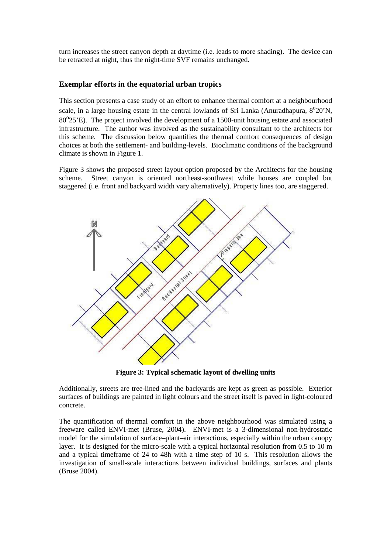turn increases the street canyon depth at daytime (i.e. leads to more shading). The device can be retracted at night, thus the night-time SVF remains unchanged.

### **Exemplar efforts in the equatorial urban tropics**

This section presents a case study of an effort to enhance thermal comfort at a neighbourhood scale, in a large housing estate in the central lowlands of Sri Lanka (Anuradhapura,  $8^{\circ}20'N$ , 80°25'E). The project involved the development of a 1500-unit housing estate and associated infrastructure. The author was involved as the sustainability consultant to the architects for this scheme. The discussion below quantifies the thermal comfort consequences of design choices at both the settlement- and building-levels. Bioclimatic conditions of the background climate is shown in Figure 1.

Figure 3 shows the proposed street layout option proposed by the Architects for the housing scheme. Street canyon is oriented northeast-southwest while houses are coupled but staggered (i.e. front and backyard width vary alternatively). Property lines too, are staggered.



**Figure 3: Typical schematic layout of dwelling units** 

Additionally, streets are tree-lined and the backyards are kept as green as possible. Exterior surfaces of buildings are painted in light colours and the street itself is paved in light-coloured concrete.

The quantification of thermal comfort in the above neighbourhood was simulated using a freeware called ENVI-met (Bruse, 2004). ENVI-met is a 3-dimensional non-hydrostatic model for the simulation of surface–plant–air interactions, especially within the urban canopy layer. It is designed for the micro-scale with a typical horizontal resolution from 0.5 to 10 m and a typical timeframe of 24 to 48h with a time step of 10 s. This resolution allows the investigation of small-scale interactions between individual buildings, surfaces and plants (Bruse 2004).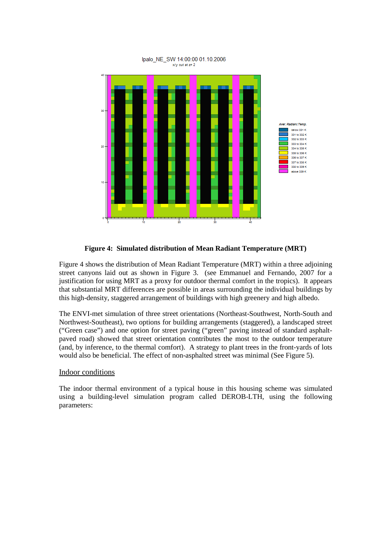

**Figure 4: Simulated distribution of Mean Radiant Temperature (MRT)** 

Figure 4 shows the distribution of Mean Radiant Temperature (MRT) within a three adjoining street canyons laid out as shown in Figure 3. (see Emmanuel and Fernando, 2007 for a justification for using MRT as a proxy for outdoor thermal comfort in the tropics). It appears that substantial MRT differences are possible in areas surrounding the individual buildings by this high-density, staggered arrangement of buildings with high greenery and high albedo.

The ENVI-met simulation of three street orientations (Northeast-Southwest, North-South and Northwest-Southeast), two options for building arrangements (staggered), a landscaped street ("Green case") and one option for street paving ("green" paving instead of standard asphaltpaved road) showed that street orientation contributes the most to the outdoor temperature (and, by inference, to the thermal comfort). A strategy to plant trees in the front-yards of lots would also be beneficial. The effect of non-asphalted street was minimal (See Figure 5).

### Indoor conditions

The indoor thermal environment of a typical house in this housing scheme was simulated using a building-level simulation program called DEROB-LTH, using the following parameters: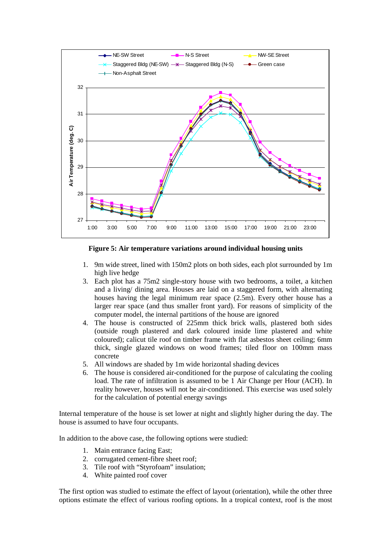

**Figure 5: Air temperature variations around individual housing units** 

- 1. 9m wide street, lined with 150m2 plots on both sides, each plot surrounded by 1m high live hedge
- 3. Each plot has a 75m2 single-story house with two bedrooms, a toilet, a kitchen and a living/ dining area. Houses are laid on a staggered form, with alternating houses having the legal minimum rear space (2.5m). Every other house has a larger rear space (and thus smaller front yard). For reasons of simplicity of the computer model, the internal partitions of the house are ignored
- 4. The house is constructed of 225mm thick brick walls, plastered both sides (outside rough plastered and dark coloured inside lime plastered and white coloured); calicut tile roof on timber frame with flat asbestos sheet ceiling; 6mm thick, single glazed windows on wood frames; tiled floor on 100mm mass concrete
- 5. All windows are shaded by 1m wide horizontal shading devices
- 6. The house is considered air-conditioned for the purpose of calculating the cooling load. The rate of infiltration is assumed to be 1 Air Change per Hour (ACH). In reality however, houses will not be air-conditioned. This exercise was used solely for the calculation of potential energy savings

Internal temperature of the house is set lower at night and slightly higher during the day. The house is assumed to have four occupants.

In addition to the above case, the following options were studied:

- 1. Main entrance facing East;
- 2. corrugated cement-fibre sheet roof;
- 3. Tile roof with "Styrofoam" insulation;
- 4. White painted roof cover

The first option was studied to estimate the effect of layout (orientation), while the other three options estimate the effect of various roofing options. In a tropical context, roof is the most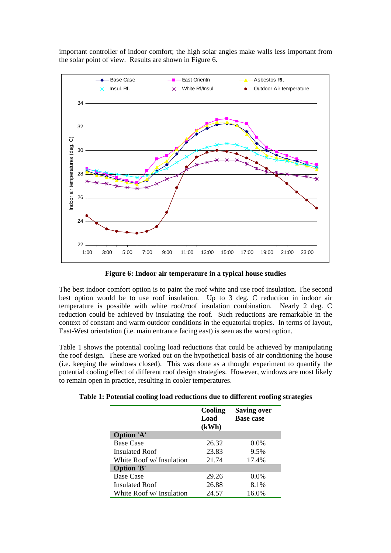



**Figure 6: Indoor air temperature in a typical house studies** 

The best indoor comfort option is to paint the roof white and use roof insulation. The second best option would be to use roof insulation. Up to 3 deg. C reduction in indoor air temperature is possible with white roof/roof insulation combination. Nearly 2 deg. C reduction could be achieved by insulating the roof. Such reductions are remarkable in the context of constant and warm outdoor conditions in the equatorial tropics. In terms of layout, East-West orientation (i.e. main entrance facing east) is seen as the worst option.

Table 1 shows the potential cooling load reductions that could be achieved by manipulating the roof design. These are worked out on the hypothetical basis of air conditioning the house (i.e. keeping the windows closed). This was done as a thought experiment to quantify the potential cooling effect of different roof design strategies. However, windows are most likely to remain open in practice, resulting in cooler temperatures.

**Table 1: Potential cooling load reductions due to different roofing strategies** 

|                          | Cooling<br>Load<br>(kWh) | <b>Saving over</b><br><b>Base case</b> |
|--------------------------|--------------------------|----------------------------------------|
| Option 'A'               |                          |                                        |
| <b>Base Case</b>         | 26.32                    | $0.0\%$                                |
| Insulated Roof           | 23.83                    | 9.5%                                   |
| White Roof w/ Insulation | 21.74                    | 17.4%                                  |
| <b>Option 'B'</b>        |                          |                                        |
| <b>Base Case</b>         | 29.26                    | $0.0\%$                                |
| Insulated Roof           | 26.88                    | 8.1%                                   |
| White Roof w/ Insulation | 24.57                    | 16.0%                                  |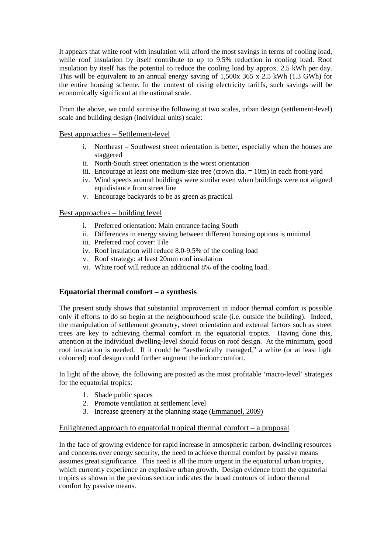It appears that white roof with insulation will afford the most savings in terms of cooling load, while roof insulation by itself contribute to up to 9.5% reduction in cooling load. Roof insulation by itself has the potential to reduce the cooling load by approx. 2.5 kWh per day. This will be equivalent to an annual energy saving of  $1,500x\,365 \times 2.5$  kWh (1.3 GWh) for the entire housing scheme. In the context of rising electricity tariffs, such savings will be economically significant at the national scale.

From the above, we could surmise the following at two scales, urban design (settlement-level) scale and building design (individual units) scale:

### Best approaches – Settlement-level

- i. Northeast Southwest street orientation is better, especially when the houses are staggered
- ii. North-South street orientation is the worst orientation
- iii. Encourage at least one medium-size tree (crown dia. = 10m) in each front-yard
- iv. Wind speeds around buildings were similar even when buildings were not aligned equidistance from street line
- v. Encourage backyards to be as green as practical

### Best approaches – building level

- i. Preferred orientation: Main entrance facing South
- ii. Differences in energy saving between different housing options is minimal
- iii. Preferred roof cover: Tile
- iv. Roof insulation will reduce 8.0-9.5% of the cooling load
- v. Roof strategy: at least 20mm roof insulation
- vi. White roof will reduce an additional 8% of the cooling load.

# **Equatorial thermal comfort – a synthesis**

The present study shows that substantial improvement in indoor thermal comfort is possible only if efforts to do so begin at the neighbourhood scale (i.e. outside the building). Indeed, the manipulation of settlement geometry, street orientation and external factors such as street trees are key to achieving thermal comfort in the equatorial tropics. Having done this, attention at the individual dwelling-level should focus on roof design. At the minimum, good roof insulation is needed. If it could be "aesthetically managed," a white (or at least light coloured) roof design could further augment the indoor comfort.

In light of the above, the following are posited as the most profitable 'macro-level' strategies for the equatorial tropics:

- 1. Shade public spaces
- 2. Promote ventilation at settlement level
- 3. Increase greenery at the planning stage ([Emmanuel, 2009\)](https://www.researchgate.net/publication/241808263_Adaptation_to_urban_climate_change_through_design_Early_best_practices_in_the_tropics_and_future_directions?el=1_x_8&enrichId=rgreq-50240998-dfbc-4707-a7d9-cbafeef6038e&enrichSource=Y292ZXJQYWdlOzI2ODIyMTE4MTtBUzoxNjM0MTU1NTMyMjQ3MDVAMTQxNTk3MjcxMjEzOQ==)

### Enlightened approach to equatorial tropical thermal comfort  $-$  a proposal

In the face of growing evidence for rapid increase in atmospheric carbon, dwindling resources and concerns over energy security, the need to achieve thermal comfort by passive means assumes great significance. This need is all the more urgent in the equatorial urban tropics, which currently experience an explosive urban growth. Design evidence from the equatorial tropics as shown in the previous section indicates the broad contours of indoor thermal comfort by passive means.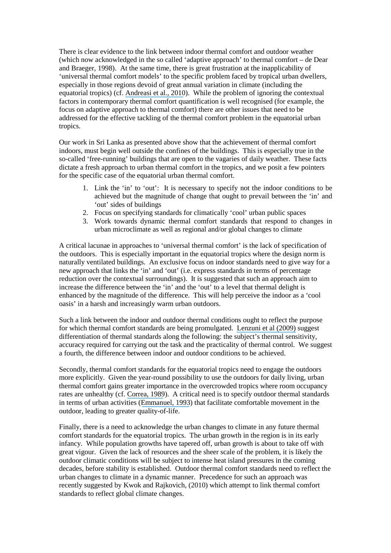There is clear evidence to the link between indoor thermal comfort and outdoor weather (which now acknowledged in the so called 'adaptive approach' to thermal comfort – de Dear and Braeger, 1998). At the same time, there is great frustration at the inapplicability of 'universal thermal comfort models' to the specific problem faced by tropical urban dwellers, especially in those regions devoid of great annual variation in climate (including the equatorial tropics) (cf. [Andreasi et al., 2010](https://www.researchgate.net/publication/229106201_Thermal_acceptability_assessment_in_buildings_located_in_hot_and_humid_regions_in_Brazil?el=1_x_8&enrichId=rgreq-50240998-dfbc-4707-a7d9-cbafeef6038e&enrichSource=Y292ZXJQYWdlOzI2ODIyMTE4MTtBUzoxNjM0MTU1NTMyMjQ3MDVAMTQxNTk3MjcxMjEzOQ==)). While the problem of ignoring the contextual factors in contemporary thermal comfort quantification is well recognised (for example, the focus on adaptive approach to thermal comfort) there are other issues that need to be addressed for the effective tackling of the thermal comfort problem in the equatorial urban tropics.

Our work in Sri Lanka as presented above show that the achievement of thermal comfort indoors, must begin well outside the confines of the buildings. This is especially true in the so-called 'free-running' buildings that are open to the vagaries of daily weather. These facts dictate a fresh approach to urban thermal comfort in the tropics, and we posit a few pointers for the specific case of the equatorial urban thermal comfort.

- 1. Link the 'in' to 'out': It is necessary to specify not the indoor conditions to be achieved but the magnitude of change that ought to prevail between the 'in' and 'out' sides of buildings
- 2. Focus on specifying standards for climatically 'cool' urban public spaces
- 3. Work towards dynamic thermal comfort standards that respond to changes in urban microclimate as well as regional and/or global changes to climate

A critical lacunae in approaches to 'universal thermal comfort' is the lack of specification of the outdoors. This is especially important in the equatorial tropics where the design norm is naturally ventilated buildings. An exclusive focus on indoor standards need to give way for a new approach that links the 'in' and 'out' (i.e. express standards in terms of percentage reduction over the contextual surroundings). It is suggested that such an approach aim to increase the difference between the 'in' and the 'out' to a level that thermal delight is enhanced by the magnitude of the difference. This will help perceive the indoor as a 'cool oasis' in a harsh and increasingly warm urban outdoors.

Such a link between the indoor and outdoor thermal conditions ought to reflect the purpose for which thermal comfort standards are being promulgated. [Lenzuni et al \(2009\)](https://www.researchgate.net/publication/24213427_Classification_of_Thermal_Environments_for_Comfort_Assessment?el=1_x_8&enrichId=rgreq-50240998-dfbc-4707-a7d9-cbafeef6038e&enrichSource=Y292ZXJQYWdlOzI2ODIyMTE4MTtBUzoxNjM0MTU1NTMyMjQ3MDVAMTQxNTk3MjcxMjEzOQ==) suggest differentiation of thermal standards along the following: the subject's thermal sensitivity, accuracy required for carrying out the task and the practicality of thermal control. We suggest a fourth, the difference between indoor and outdoor conditions to be achieved.

Secondly, thermal comfort standards for the equatorial tropics need to engage the outdoors more explicitly. Given the year-round possibility to use the outdoors for daily living, urban thermal comfort gains greater importance in the overcrowded tropics where room occupancy rates are unhealthy (cf. [Correa, 1989](https://www.researchgate.net/publication/273056616_The_New_Landscape_Urbanization_in_the_Third_World?el=1_x_8&enrichId=rgreq-50240998-dfbc-4707-a7d9-cbafeef6038e&enrichSource=Y292ZXJQYWdlOzI2ODIyMTE4MTtBUzoxNjM0MTU1NTMyMjQ3MDVAMTQxNTk3MjcxMjEzOQ==)). A critical need is to specify outdoor thermal standards in terms of urban activities ([Emmanuel, 1993](https://www.researchgate.net/publication/233214976_A_Hypothetical_)) that facilitate comfortable movement in the outdoor, leading to greater quality-of-life.

Finally, there is a need to acknowledge the urban changes to climate in any future thermal comfort standards for the equatorial tropics. The urban growth in the region is in its early infancy. While population growths have tapered off, urban growth is about to take off with great vigour. Given the lack of resources and the sheer scale of the problem, it is likely the outdoor climatic conditions will be subject to intense heat island pressures in the coming decades, before stability is established. Outdoor thermal comfort standards need to reflect the urban changes to climate in a dynamic manner. Precedence for such an approach was recently suggested by Kwok and Rajkovich, (2010) which attempt to link thermal comfort standards to reflect global climate changes.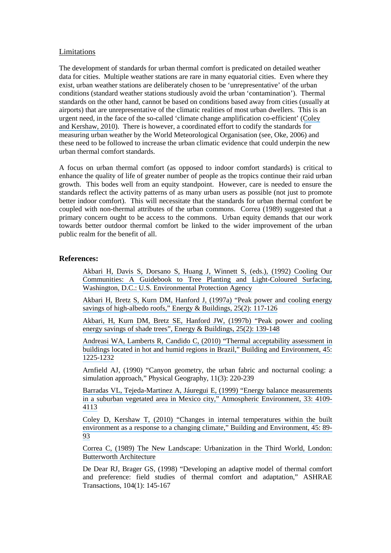#### Limitations

The development of standards for urban thermal comfort is predicated on detailed weather data for cities. Multiple weather stations are rare in many equatorial cities. Even where they exist, urban weather stations are deliberately chosen to be 'unrepresentative' of the urban conditions (standard weather stations studiously avoid the urban 'contamination'). Thermal standards on the other hand, cannot be based on conditions based away from cities (usually at airports) that are unrepresentative of the climatic realities of most urban dwellers. This is an urgent need, in the face of the so-called 'climate change amplification co-efficient' ([Coley](https://www.researchgate.net/publication/229284088_Changes_in_internal_temperatures_within_the_built_environment_as_a_response_to_a_changing_climate?el=1_x_8&enrichId=rgreq-50240998-dfbc-4707-a7d9-cbafeef6038e&enrichSource=Y292ZXJQYWdlOzI2ODIyMTE4MTtBUzoxNjM0MTU1NTMyMjQ3MDVAMTQxNTk3MjcxMjEzOQ==) [and Kershaw, 2010](https://www.researchgate.net/publication/229284088_Changes_in_internal_temperatures_within_the_built_environment_as_a_response_to_a_changing_climate?el=1_x_8&enrichId=rgreq-50240998-dfbc-4707-a7d9-cbafeef6038e&enrichSource=Y292ZXJQYWdlOzI2ODIyMTE4MTtBUzoxNjM0MTU1NTMyMjQ3MDVAMTQxNTk3MjcxMjEzOQ==)). There is however, a coordinated effort to codify the standards for measuring urban weather by the World Meteorological Organisation (see, Oke, 2006) and these need to be followed to increase the urban climatic evidence that could underpin the new urban thermal comfort standards.

A focus on urban thermal comfort (as opposed to indoor comfort standards) is critical to enhance the quality of life of greater number of people as the tropics continue their raid urban growth. This bodes well from an equity standpoint. However, care is needed to ensure the standards reflect the activity patterns of as many urban users as possible (not just to promote better indoor comfort). This will necessitate that the standards for urban thermal comfort be coupled with non-thermal attributes of the urban commons. Correa (1989) suggested that a primary concern ought to be access to the commons. Urban equity demands that our work towards better outdoor thermal comfort be linked to the wider improvement of the urban public realm for the benefit of all.

#### **References:**

[Akbari H, Davis S, Dorsano S, Huang J, Winnett S, \(eds.\), \(1992\) Cooling Our](https://www.researchgate.net/publication/236464814_Cooling_Our_Communities_A_Guidebook_on_Tree_Planting_and_Light-Colored_Surfacing?el=1_x_8&enrichId=rgreq-50240998-dfbc-4707-a7d9-cbafeef6038e&enrichSource=Y292ZXJQYWdlOzI2ODIyMTE4MTtBUzoxNjM0MTU1NTMyMjQ3MDVAMTQxNTk3MjcxMjEzOQ==) [Communities: A Guidebook to Tree Planting and Light-Coloured Surfacing,](https://www.researchgate.net/publication/236464814_Cooling_Our_Communities_A_Guidebook_on_Tree_Planting_and_Light-Colored_Surfacing?el=1_x_8&enrichId=rgreq-50240998-dfbc-4707-a7d9-cbafeef6038e&enrichSource=Y292ZXJQYWdlOzI2ODIyMTE4MTtBUzoxNjM0MTU1NTMyMjQ3MDVAMTQxNTk3MjcxMjEzOQ==) [Washington, D.C.: U.S. Environmental Protection Agency](https://www.researchgate.net/publication/236464814_Cooling_Our_Communities_A_Guidebook_on_Tree_Planting_and_Light-Colored_Surfacing?el=1_x_8&enrichId=rgreq-50240998-dfbc-4707-a7d9-cbafeef6038e&enrichSource=Y292ZXJQYWdlOzI2ODIyMTE4MTtBUzoxNjM0MTU1NTMyMjQ3MDVAMTQxNTk3MjcxMjEzOQ==) 

[Akbari H, Bretz S, Kurn DM, Hanford J, \(1997a\) "Peak power and cooling energy](https://www.researchgate.net/publication/223105772_Peak_power_and_cooling_energy_savings_of_high-albedo_roofs?el=1_x_8&enrichId=rgreq-50240998-dfbc-4707-a7d9-cbafeef6038e&enrichSource=Y292ZXJQYWdlOzI2ODIyMTE4MTtBUzoxNjM0MTU1NTMyMjQ3MDVAMTQxNTk3MjcxMjEzOQ==) [savings of high-albedo roofs," Energy & Buildings, 25\(2\): 117-126](https://www.researchgate.net/publication/223105772_Peak_power_and_cooling_energy_savings_of_high-albedo_roofs?el=1_x_8&enrichId=rgreq-50240998-dfbc-4707-a7d9-cbafeef6038e&enrichSource=Y292ZXJQYWdlOzI2ODIyMTE4MTtBUzoxNjM0MTU1NTMyMjQ3MDVAMTQxNTk3MjcxMjEzOQ==)

[Akbari, H, Kurn DM, Bretz SE, Hanford JW, \(1997b\) "Peak power and cooling](https://www.researchgate.net/publication/222597005_Peak_power_and_cooling_energy_savings_of_shade_trees?el=1_x_8&enrichId=rgreq-50240998-dfbc-4707-a7d9-cbafeef6038e&enrichSource=Y292ZXJQYWdlOzI2ODIyMTE4MTtBUzoxNjM0MTU1NTMyMjQ3MDVAMTQxNTk3MjcxMjEzOQ==)  [energy savings of shade trees", Energy & Buildings, 25\(2\): 139-148](https://www.researchgate.net/publication/222597005_Peak_power_and_cooling_energy_savings_of_shade_trees?el=1_x_8&enrichId=rgreq-50240998-dfbc-4707-a7d9-cbafeef6038e&enrichSource=Y292ZXJQYWdlOzI2ODIyMTE4MTtBUzoxNjM0MTU1NTMyMjQ3MDVAMTQxNTk3MjcxMjEzOQ==) 

[Andreasi WA, Lamberts R, Candido C, \(2010\) "Thermal acceptability assessment in](https://www.researchgate.net/publication/229106201_Thermal_acceptability_assessment_in_buildings_located_in_hot_and_humid_regions_in_Brazil?el=1_x_8&enrichId=rgreq-50240998-dfbc-4707-a7d9-cbafeef6038e&enrichSource=Y292ZXJQYWdlOzI2ODIyMTE4MTtBUzoxNjM0MTU1NTMyMjQ3MDVAMTQxNTk3MjcxMjEzOQ==)  [buildings located in hot and humid regions in Brazil," Building and Environment, 45:](https://www.researchgate.net/publication/229106201_Thermal_acceptability_assessment_in_buildings_located_in_hot_and_humid_regions_in_Brazil?el=1_x_8&enrichId=rgreq-50240998-dfbc-4707-a7d9-cbafeef6038e&enrichSource=Y292ZXJQYWdlOzI2ODIyMTE4MTtBUzoxNjM0MTU1NTMyMjQ3MDVAMTQxNTk3MjcxMjEzOQ==) [1225-1232](https://www.researchgate.net/publication/229106201_Thermal_acceptability_assessment_in_buildings_located_in_hot_and_humid_regions_in_Brazil?el=1_x_8&enrichId=rgreq-50240998-dfbc-4707-a7d9-cbafeef6038e&enrichSource=Y292ZXJQYWdlOzI2ODIyMTE4MTtBUzoxNjM0MTU1NTMyMjQ3MDVAMTQxNTk3MjcxMjEzOQ==) 

Arnfield AJ, (1990) "Canyon geometry, the urban fabric and nocturnal cooling: a simulation approach," Physical Geography, 11(3): 220-239

[Barradas VL, Tejeda-Martinez A, Jáuregui E, \(1999\) "Energy balance measurements](https://www.researchgate.net/publication/223233987_Energy_balance_measurements_in_a_suburban_vegetated_area_in_Mexico_City?el=1_x_8&enrichId=rgreq-50240998-dfbc-4707-a7d9-cbafeef6038e&enrichSource=Y292ZXJQYWdlOzI2ODIyMTE4MTtBUzoxNjM0MTU1NTMyMjQ3MDVAMTQxNTk3MjcxMjEzOQ==)  [in a suburban vegetated area in Mexico city," Atmospheric Environment, 33: 4109-](https://www.researchgate.net/publication/223233987_Energy_balance_measurements_in_a_suburban_vegetated_area_in_Mexico_City?el=1_x_8&enrichId=rgreq-50240998-dfbc-4707-a7d9-cbafeef6038e&enrichSource=Y292ZXJQYWdlOzI2ODIyMTE4MTtBUzoxNjM0MTU1NTMyMjQ3MDVAMTQxNTk3MjcxMjEzOQ==) [4113](https://www.researchgate.net/publication/223233987_Energy_balance_measurements_in_a_suburban_vegetated_area_in_Mexico_City?el=1_x_8&enrichId=rgreq-50240998-dfbc-4707-a7d9-cbafeef6038e&enrichSource=Y292ZXJQYWdlOzI2ODIyMTE4MTtBUzoxNjM0MTU1NTMyMjQ3MDVAMTQxNTk3MjcxMjEzOQ==) 

[Coley D, Kershaw T, \(2010\) "Changes in internal temperatures within the built](https://www.researchgate.net/publication/229284088_Changes_in_internal_temperatures_within_the_built_environment_as_a_response_to_a_changing_climate?el=1_x_8&enrichId=rgreq-50240998-dfbc-4707-a7d9-cbafeef6038e&enrichSource=Y292ZXJQYWdlOzI2ODIyMTE4MTtBUzoxNjM0MTU1NTMyMjQ3MDVAMTQxNTk3MjcxMjEzOQ==)  [environment as a response to a changing climate," Building and Environment, 45: 89-](https://www.researchgate.net/publication/229284088_Changes_in_internal_temperatures_within_the_built_environment_as_a_response_to_a_changing_climate?el=1_x_8&enrichId=rgreq-50240998-dfbc-4707-a7d9-cbafeef6038e&enrichSource=Y292ZXJQYWdlOzI2ODIyMTE4MTtBUzoxNjM0MTU1NTMyMjQ3MDVAMTQxNTk3MjcxMjEzOQ==) [93](https://www.researchgate.net/publication/229284088_Changes_in_internal_temperatures_within_the_built_environment_as_a_response_to_a_changing_climate?el=1_x_8&enrichId=rgreq-50240998-dfbc-4707-a7d9-cbafeef6038e&enrichSource=Y292ZXJQYWdlOzI2ODIyMTE4MTtBUzoxNjM0MTU1NTMyMjQ3MDVAMTQxNTk3MjcxMjEzOQ==) 

[Correa C, \(1989\) The New Landscape: Urbanization in the Third World, London:](https://www.researchgate.net/publication/273056616_The_New_Landscape_Urbanization_in_the_Third_World?el=1_x_8&enrichId=rgreq-50240998-dfbc-4707-a7d9-cbafeef6038e&enrichSource=Y292ZXJQYWdlOzI2ODIyMTE4MTtBUzoxNjM0MTU1NTMyMjQ3MDVAMTQxNTk3MjcxMjEzOQ==)  [Butterworth Architecture](https://www.researchgate.net/publication/273056616_The_New_Landscape_Urbanization_in_the_Third_World?el=1_x_8&enrichId=rgreq-50240998-dfbc-4707-a7d9-cbafeef6038e&enrichSource=Y292ZXJQYWdlOzI2ODIyMTE4MTtBUzoxNjM0MTU1NTMyMjQ3MDVAMTQxNTk3MjcxMjEzOQ==) 

De Dear RJ, Brager GS, (1998) "Developing an adaptive model of thermal comfort and preference: field studies of thermal comfort and adaptation," ASHRAE Transactions, 104(1): 145-167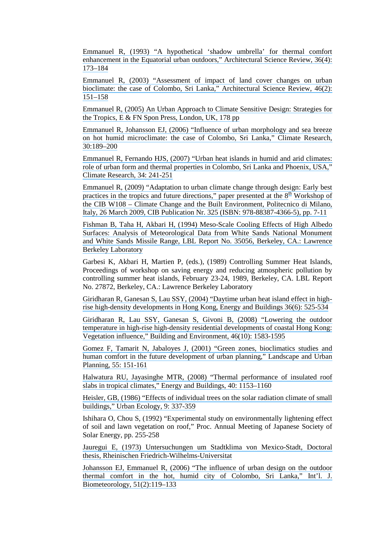[Emmanuel R, \(1993\) "A hypothetical 'shadow umbrella' for thermal comfort](https://www.researchgate.net/publication/233214976_A_Hypothetical_) enhancement in the Equatorial urban outdoors," Architectural Science Review, 36(4): [173–184](https://www.researchgate.net/publication/233214976_A_Hypothetical_) 

[Emmanuel R, \(2003\) "Assessment of impact of land cover changes on urban](https://www.researchgate.net/publication/254213748_Assessment_of_Impact_of_Land_Cover_Changes_on_Urban_Bioclimate_the_Case_of_Colombo_Sri_Lanka?el=1_x_8&enrichId=rgreq-50240998-dfbc-4707-a7d9-cbafeef6038e&enrichSource=Y292ZXJQYWdlOzI2ODIyMTE4MTtBUzoxNjM0MTU1NTMyMjQ3MDVAMTQxNTk3MjcxMjEzOQ==) [bioclimate: the case of Colombo, Sri Lanka," Architectural Science Review, 46\(2\):](https://www.researchgate.net/publication/254213748_Assessment_of_Impact_of_Land_Cover_Changes_on_Urban_Bioclimate_the_Case_of_Colombo_Sri_Lanka?el=1_x_8&enrichId=rgreq-50240998-dfbc-4707-a7d9-cbafeef6038e&enrichSource=Y292ZXJQYWdlOzI2ODIyMTE4MTtBUzoxNjM0MTU1NTMyMjQ3MDVAMTQxNTk3MjcxMjEzOQ==)  [151–158](https://www.researchgate.net/publication/254213748_Assessment_of_Impact_of_Land_Cover_Changes_on_Urban_Bioclimate_the_Case_of_Colombo_Sri_Lanka?el=1_x_8&enrichId=rgreq-50240998-dfbc-4707-a7d9-cbafeef6038e&enrichSource=Y292ZXJQYWdlOzI2ODIyMTE4MTtBUzoxNjM0MTU1NTMyMjQ3MDVAMTQxNTk3MjcxMjEzOQ==) 

[Emmanuel R, \(2005\) An Urban Approach to Climate Sensitive Design: Strategies for](https://www.researchgate.net/publication/259458623_An_Urban_Approach_to_Climate_Sensitive_Design_Strategies_for_the_Tropics?el=1_x_8&enrichId=rgreq-50240998-dfbc-4707-a7d9-cbafeef6038e&enrichSource=Y292ZXJQYWdlOzI2ODIyMTE4MTtBUzoxNjM0MTU1NTMyMjQ3MDVAMTQxNTk3MjcxMjEzOQ==)  [the Tropics, E & FN Spon Press, London, UK, 178 pp](https://www.researchgate.net/publication/259458623_An_Urban_Approach_to_Climate_Sensitive_Design_Strategies_for_the_Tropics?el=1_x_8&enrichId=rgreq-50240998-dfbc-4707-a7d9-cbafeef6038e&enrichSource=Y292ZXJQYWdlOzI2ODIyMTE4MTtBUzoxNjM0MTU1NTMyMjQ3MDVAMTQxNTk3MjcxMjEzOQ==)

[Emmanuel R, Johansson EJ, \(2006\) "Influence of urban morphology and sea breeze](https://www.researchgate.net/publication/250221735_Influence_of_urban_morphology_and_sea_breeze_on_hot_humid_microclimate_The_case_of_Colombo_Sri_Lanka_Climate_Research_30_189-200?el=1_x_8&enrichId=rgreq-50240998-dfbc-4707-a7d9-cbafeef6038e&enrichSource=Y292ZXJQYWdlOzI2ODIyMTE4MTtBUzoxNjM0MTU1NTMyMjQ3MDVAMTQxNTk3MjcxMjEzOQ==) [on hot humid microclimate: the case of Colombo, Sri Lanka," Climate Research,](https://www.researchgate.net/publication/250221735_Influence_of_urban_morphology_and_sea_breeze_on_hot_humid_microclimate_The_case_of_Colombo_Sri_Lanka_Climate_Research_30_189-200?el=1_x_8&enrichId=rgreq-50240998-dfbc-4707-a7d9-cbafeef6038e&enrichSource=Y292ZXJQYWdlOzI2ODIyMTE4MTtBUzoxNjM0MTU1NTMyMjQ3MDVAMTQxNTk3MjcxMjEzOQ==)  [30:189–200](https://www.researchgate.net/publication/250221735_Influence_of_urban_morphology_and_sea_breeze_on_hot_humid_microclimate_The_case_of_Colombo_Sri_Lanka_Climate_Research_30_189-200?el=1_x_8&enrichId=rgreq-50240998-dfbc-4707-a7d9-cbafeef6038e&enrichSource=Y292ZXJQYWdlOzI2ODIyMTE4MTtBUzoxNjM0MTU1NTMyMjQ3MDVAMTQxNTk3MjcxMjEzOQ==) 

[Emmanuel R, Fernando HJS, \(2007\) "Urban heat islands in humid and arid climates:](https://www.researchgate.net/publication/250221915_Urban_heat_islands_in_humid_and_arid_climates_Role_of_urban_form_and_thermal_properties_in_Colombo_Sri_Lanka_and_Phoenix_USA?el=1_x_8&enrichId=rgreq-50240998-dfbc-4707-a7d9-cbafeef6038e&enrichSource=Y292ZXJQYWdlOzI2ODIyMTE4MTtBUzoxNjM0MTU1NTMyMjQ3MDVAMTQxNTk3MjcxMjEzOQ==)  [role of urban form and thermal properties in Colombo, Sri Lanka and Phoenix, USA,"](https://www.researchgate.net/publication/250221915_Urban_heat_islands_in_humid_and_arid_climates_Role_of_urban_form_and_thermal_properties_in_Colombo_Sri_Lanka_and_Phoenix_USA?el=1_x_8&enrichId=rgreq-50240998-dfbc-4707-a7d9-cbafeef6038e&enrichSource=Y292ZXJQYWdlOzI2ODIyMTE4MTtBUzoxNjM0MTU1NTMyMjQ3MDVAMTQxNTk3MjcxMjEzOQ==) [Climate Research, 34: 241-251](https://www.researchgate.net/publication/250221915_Urban_heat_islands_in_humid_and_arid_climates_Role_of_urban_form_and_thermal_properties_in_Colombo_Sri_Lanka_and_Phoenix_USA?el=1_x_8&enrichId=rgreq-50240998-dfbc-4707-a7d9-cbafeef6038e&enrichSource=Y292ZXJQYWdlOzI2ODIyMTE4MTtBUzoxNjM0MTU1NTMyMjQ3MDVAMTQxNTk3MjcxMjEzOQ==) 

[Emmanuel R, \(2009\) "Adaptation to urban climate change through design: Early best](https://www.researchgate.net/publication/241808263_Adaptation_to_urban_climate_change_through_design_Early_best_practices_in_the_tropics_and_future_directions?el=1_x_8&enrichId=rgreq-50240998-dfbc-4707-a7d9-cbafeef6038e&enrichSource=Y292ZXJQYWdlOzI2ODIyMTE4MTtBUzoxNjM0MTU1NTMyMjQ3MDVAMTQxNTk3MjcxMjEzOQ==) practices in [th](https://www.researchgate.net/publication/241808263_Adaptation_to_urban_climate_change_through_design_Early_best_practices_in_the_tropics_and_future_directions?el=1_x_8&enrichId=rgreq-50240998-dfbc-4707-a7d9-cbafeef6038e&enrichSource=Y292ZXJQYWdlOzI2ODIyMTE4MTtBUzoxNjM0MTU1NTMyMjQ3MDVAMTQxNTk3MjcxMjEzOQ==)e tropics and future directions," paper presented at the  $8<sup>th</sup>$  Workshop of [the CIB W108 – Climate Change and the Built Environment, Politecnico di Milano,](https://www.researchgate.net/publication/241808263_Adaptation_to_urban_climate_change_through_design_Early_best_practices_in_the_tropics_and_future_directions?el=1_x_8&enrichId=rgreq-50240998-dfbc-4707-a7d9-cbafeef6038e&enrichSource=Y292ZXJQYWdlOzI2ODIyMTE4MTtBUzoxNjM0MTU1NTMyMjQ3MDVAMTQxNTk3MjcxMjEzOQ==)  [Italy, 26 March 2009, CIB Publication Nr. 325 \(ISBN: 978-88387-4366-5\), pp. 7-11](https://www.researchgate.net/publication/241808263_Adaptation_to_urban_climate_change_through_design_Early_best_practices_in_the_tropics_and_future_directions?el=1_x_8&enrichId=rgreq-50240998-dfbc-4707-a7d9-cbafeef6038e&enrichSource=Y292ZXJQYWdlOzI2ODIyMTE4MTtBUzoxNjM0MTU1NTMyMjQ3MDVAMTQxNTk3MjcxMjEzOQ==) 

[Fishman B, Taha H, Akbari H, \(1994\) Meso-Scale Cooling Effects of High Albedo](https://www.researchgate.net/publication/236410685_Meso-Scale_Cooling_Effects_of_High_Albedo_Surfaces_Analysis_of_Meteorological_Data_from_White_Sands_National_Monument_and_White_Sands_Missile_Range?el=1_x_8&enrichId=rgreq-50240998-dfbc-4707-a7d9-cbafeef6038e&enrichSource=Y292ZXJQYWdlOzI2ODIyMTE4MTtBUzoxNjM0MTU1NTMyMjQ3MDVAMTQxNTk3MjcxMjEzOQ==)  [Surfaces: Analysis of Meteorological Data from White Sands National Monument](https://www.researchgate.net/publication/236410685_Meso-Scale_Cooling_Effects_of_High_Albedo_Surfaces_Analysis_of_Meteorological_Data_from_White_Sands_National_Monument_and_White_Sands_Missile_Range?el=1_x_8&enrichId=rgreq-50240998-dfbc-4707-a7d9-cbafeef6038e&enrichSource=Y292ZXJQYWdlOzI2ODIyMTE4MTtBUzoxNjM0MTU1NTMyMjQ3MDVAMTQxNTk3MjcxMjEzOQ==) [and White Sands Missile Range, LBL Report No. 35056, Berkeley, CA.: Lawrence](https://www.researchgate.net/publication/236410685_Meso-Scale_Cooling_Effects_of_High_Albedo_Surfaces_Analysis_of_Meteorological_Data_from_White_Sands_National_Monument_and_White_Sands_Missile_Range?el=1_x_8&enrichId=rgreq-50240998-dfbc-4707-a7d9-cbafeef6038e&enrichSource=Y292ZXJQYWdlOzI2ODIyMTE4MTtBUzoxNjM0MTU1NTMyMjQ3MDVAMTQxNTk3MjcxMjEzOQ==)  [Berkeley Laboratory](https://www.researchgate.net/publication/236410685_Meso-Scale_Cooling_Effects_of_High_Albedo_Surfaces_Analysis_of_Meteorological_Data_from_White_Sands_National_Monument_and_White_Sands_Missile_Range?el=1_x_8&enrichId=rgreq-50240998-dfbc-4707-a7d9-cbafeef6038e&enrichSource=Y292ZXJQYWdlOzI2ODIyMTE4MTtBUzoxNjM0MTU1NTMyMjQ3MDVAMTQxNTk3MjcxMjEzOQ==)

Garbesi K, Akbari H, Martien P, (eds.), (1989) Controlling Summer Heat Islands, Proceedings of workshop on saving energy and reducing atmospheric pollution by controlling summer heat islands, February 23-24, 1989, Berkeley, CA. LBL Report No. 27872, Berkeley, CA.: Lawrence Berkeley Laboratory

[Giridharan R, Ganesan S, Lau SSY, \(2004\) "Daytime urban heat island effect in high](https://www.researchgate.net/publication/223407556_Daytime_urban_heat_island_effect_in_high-rise_and_high-density_residential_developments_in_Hong_Kong?el=1_x_8&enrichId=rgreq-50240998-dfbc-4707-a7d9-cbafeef6038e&enrichSource=Y292ZXJQYWdlOzI2ODIyMTE4MTtBUzoxNjM0MTU1NTMyMjQ3MDVAMTQxNTk3MjcxMjEzOQ==)[rise high-density developments in Hong Kong, Energy and Buildings 36\(6\): 525-534](https://www.researchgate.net/publication/223407556_Daytime_urban_heat_island_effect_in_high-rise_and_high-density_residential_developments_in_Hong_Kong?el=1_x_8&enrichId=rgreq-50240998-dfbc-4707-a7d9-cbafeef6038e&enrichSource=Y292ZXJQYWdlOzI2ODIyMTE4MTtBUzoxNjM0MTU1NTMyMjQ3MDVAMTQxNTk3MjcxMjEzOQ==) 

[Giridharan R, Lau SSY, Ganesan S, Givoni B, \(2008\) "Lowering the outdoor](https://www.researchgate.net/publication/223382572_Lowering_the_outdoor_temperature_in_high-rise_high-density_residential_developments_of_coastal_Hong_Kong_The_vegetation_influence?el=1_x_8&enrichId=rgreq-50240998-dfbc-4707-a7d9-cbafeef6038e&enrichSource=Y292ZXJQYWdlOzI2ODIyMTE4MTtBUzoxNjM0MTU1NTMyMjQ3MDVAMTQxNTk3MjcxMjEzOQ==)  [temperature in high-rise high-density residential developments of coastal Hong Kong:](https://www.researchgate.net/publication/223382572_Lowering_the_outdoor_temperature_in_high-rise_high-density_residential_developments_of_coastal_Hong_Kong_The_vegetation_influence?el=1_x_8&enrichId=rgreq-50240998-dfbc-4707-a7d9-cbafeef6038e&enrichSource=Y292ZXJQYWdlOzI2ODIyMTE4MTtBUzoxNjM0MTU1NTMyMjQ3MDVAMTQxNTk3MjcxMjEzOQ==) [Vegetation influence," Building and Environment, 46\(10\): 1583-1595](https://www.researchgate.net/publication/223382572_Lowering_the_outdoor_temperature_in_high-rise_high-density_residential_developments_of_coastal_Hong_Kong_The_vegetation_influence?el=1_x_8&enrichId=rgreq-50240998-dfbc-4707-a7d9-cbafeef6038e&enrichSource=Y292ZXJQYWdlOzI2ODIyMTE4MTtBUzoxNjM0MTU1NTMyMjQ3MDVAMTQxNTk3MjcxMjEzOQ==) 

[Gomez F, Tamarit N, Jabaloyes J, \(2001\) "Green zones, bioclimatics studies and](https://www.researchgate.net/publication/222733918_Green_zones_bioclimatic_studies_and_human_comfort_in_the_future_development_of_urban_planning?el=1_x_8&enrichId=rgreq-50240998-dfbc-4707-a7d9-cbafeef6038e&enrichSource=Y292ZXJQYWdlOzI2ODIyMTE4MTtBUzoxNjM0MTU1NTMyMjQ3MDVAMTQxNTk3MjcxMjEzOQ==)  [human comfort in the future development of urban planning," Landscape and Urban](https://www.researchgate.net/publication/222733918_Green_zones_bioclimatic_studies_and_human_comfort_in_the_future_development_of_urban_planning?el=1_x_8&enrichId=rgreq-50240998-dfbc-4707-a7d9-cbafeef6038e&enrichSource=Y292ZXJQYWdlOzI2ODIyMTE4MTtBUzoxNjM0MTU1NTMyMjQ3MDVAMTQxNTk3MjcxMjEzOQ==)  [Planning, 55: 151-161](https://www.researchgate.net/publication/222733918_Green_zones_bioclimatic_studies_and_human_comfort_in_the_future_development_of_urban_planning?el=1_x_8&enrichId=rgreq-50240998-dfbc-4707-a7d9-cbafeef6038e&enrichSource=Y292ZXJQYWdlOzI2ODIyMTE4MTtBUzoxNjM0MTU1NTMyMjQ3MDVAMTQxNTk3MjcxMjEzOQ==) 

[Halwatura RU, Jayasinghe MTR, \(2008\) "Thermal performance of insulated roof](https://www.researchgate.net/publication/257227024_Thermal_performance_of_insulated_roof_slabs_in_tropical_climates?el=1_x_8&enrichId=rgreq-50240998-dfbc-4707-a7d9-cbafeef6038e&enrichSource=Y292ZXJQYWdlOzI2ODIyMTE4MTtBUzoxNjM0MTU1NTMyMjQ3MDVAMTQxNTk3MjcxMjEzOQ==)  [slabs in tropical climates," Energy and Buildings, 40: 1153–1160](https://www.researchgate.net/publication/257227024_Thermal_performance_of_insulated_roof_slabs_in_tropical_climates?el=1_x_8&enrichId=rgreq-50240998-dfbc-4707-a7d9-cbafeef6038e&enrichSource=Y292ZXJQYWdlOzI2ODIyMTE4MTtBUzoxNjM0MTU1NTMyMjQ3MDVAMTQxNTk3MjcxMjEzOQ==)

[Heisler, GB, \(1986\) "Effects of individual trees on the solar radiation climate of small](https://www.researchgate.net/publication/223943333_Effects_of_Individual_Trees_on_the_Solar_Radiation_Climate_of_Small_Buildings?el=1_x_8&enrichId=rgreq-50240998-dfbc-4707-a7d9-cbafeef6038e&enrichSource=Y292ZXJQYWdlOzI2ODIyMTE4MTtBUzoxNjM0MTU1NTMyMjQ3MDVAMTQxNTk3MjcxMjEzOQ==) [buildings," Urban Ecology, 9: 337-359](https://www.researchgate.net/publication/223943333_Effects_of_Individual_Trees_on_the_Solar_Radiation_Climate_of_Small_Buildings?el=1_x_8&enrichId=rgreq-50240998-dfbc-4707-a7d9-cbafeef6038e&enrichSource=Y292ZXJQYWdlOzI2ODIyMTE4MTtBUzoxNjM0MTU1NTMyMjQ3MDVAMTQxNTk3MjcxMjEzOQ==) 

Ishihara O, Chou S, (1992) "Experimental study on environmentally lightening effect of soil and lawn vegetation on roof," Proc. Annual Meeting of Japanese Society of Solar Energy, pp. 255-258

[Jauregui E, \(1973\) Untersuchungen um Stadtklima von Mexico-Stadt, Doctoral](https://www.researchgate.net/publication/34414326_Untersuchungen_zum_Stadtklima_von_Mexiko-Stadt?el=1_x_8&enrichId=rgreq-50240998-dfbc-4707-a7d9-cbafeef6038e&enrichSource=Y292ZXJQYWdlOzI2ODIyMTE4MTtBUzoxNjM0MTU1NTMyMjQ3MDVAMTQxNTk3MjcxMjEzOQ==)  [thesis, Rheinischen Friedrich-Wilhelms-Universitat](https://www.researchgate.net/publication/34414326_Untersuchungen_zum_Stadtklima_von_Mexiko-Stadt?el=1_x_8&enrichId=rgreq-50240998-dfbc-4707-a7d9-cbafeef6038e&enrichSource=Y292ZXJQYWdlOzI2ODIyMTE4MTtBUzoxNjM0MTU1NTMyMjQ3MDVAMTQxNTk3MjcxMjEzOQ==)

[Johansson EJ, Emmanuel R, \(2006\) "The influence of urban design on the outdoor](https://www.researchgate.net/publication/6929709_The_influence_of_urban_design_on_outdoor_thermal_comfort_in_the_hot_humid_city_of_Colombo_Sri_Lanka?el=1_x_8&enrichId=rgreq-50240998-dfbc-4707-a7d9-cbafeef6038e&enrichSource=Y292ZXJQYWdlOzI2ODIyMTE4MTtBUzoxNjM0MTU1NTMyMjQ3MDVAMTQxNTk3MjcxMjEzOQ==)  [thermal comfort in the hot, humid city of Colombo, Sri Lanka," Int'l. J.](https://www.researchgate.net/publication/6929709_The_influence_of_urban_design_on_outdoor_thermal_comfort_in_the_hot_humid_city_of_Colombo_Sri_Lanka?el=1_x_8&enrichId=rgreq-50240998-dfbc-4707-a7d9-cbafeef6038e&enrichSource=Y292ZXJQYWdlOzI2ODIyMTE4MTtBUzoxNjM0MTU1NTMyMjQ3MDVAMTQxNTk3MjcxMjEzOQ==)  [Biometeorology, 51\(2\):119–133](https://www.researchgate.net/publication/6929709_The_influence_of_urban_design_on_outdoor_thermal_comfort_in_the_hot_humid_city_of_Colombo_Sri_Lanka?el=1_x_8&enrichId=rgreq-50240998-dfbc-4707-a7d9-cbafeef6038e&enrichSource=Y292ZXJQYWdlOzI2ODIyMTE4MTtBUzoxNjM0MTU1NTMyMjQ3MDVAMTQxNTk3MjcxMjEzOQ==)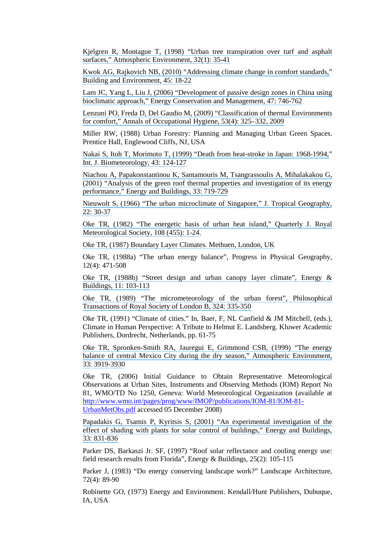[Kjelgren R, Montague T, \(1998\) "Urban tree transpiration over turf and asphalt](https://www.researchgate.net/publication/257522507_Urban_tree_transpiration_over_turf_and_asphalt_surfaces?el=1_x_8&enrichId=rgreq-50240998-dfbc-4707-a7d9-cbafeef6038e&enrichSource=Y292ZXJQYWdlOzI2ODIyMTE4MTtBUzoxNjM0MTU1NTMyMjQ3MDVAMTQxNTk3MjcxMjEzOQ==)  [surfaces," Atmospheric Environment, 32\(1\): 35-41](https://www.researchgate.net/publication/257522507_Urban_tree_transpiration_over_turf_and_asphalt_surfaces?el=1_x_8&enrichId=rgreq-50240998-dfbc-4707-a7d9-cbafeef6038e&enrichSource=Y292ZXJQYWdlOzI2ODIyMTE4MTtBUzoxNjM0MTU1NTMyMjQ3MDVAMTQxNTk3MjcxMjEzOQ==)

[Kwok AG, Rajkovich NB, \(2010\) "Addressing climate change in comfort standards,"](https://www.researchgate.net/publication/245145363_Addressing_climate_change_in_comfort_standards?el=1_x_8&enrichId=rgreq-50240998-dfbc-4707-a7d9-cbafeef6038e&enrichSource=Y292ZXJQYWdlOzI2ODIyMTE4MTtBUzoxNjM0MTU1NTMyMjQ3MDVAMTQxNTk3MjcxMjEzOQ==) [Building and Environment, 45: 18-22](https://www.researchgate.net/publication/245145363_Addressing_climate_change_in_comfort_standards?el=1_x_8&enrichId=rgreq-50240998-dfbc-4707-a7d9-cbafeef6038e&enrichSource=Y292ZXJQYWdlOzI2ODIyMTE4MTtBUzoxNjM0MTU1NTMyMjQ3MDVAMTQxNTk3MjcxMjEzOQ==)

[Lam JC, Yang L, Liu J, \(2006\) "Development of passive design zones in China using](https://www.researchgate.net/publication/222241854_Development_of_passive_design_zones_in_China_using_bioclimatic_approach?el=1_x_8&enrichId=rgreq-50240998-dfbc-4707-a7d9-cbafeef6038e&enrichSource=Y292ZXJQYWdlOzI2ODIyMTE4MTtBUzoxNjM0MTU1NTMyMjQ3MDVAMTQxNTk3MjcxMjEzOQ==)  [bioclimatic approach," Energy Conservation and Management, 47: 746-762](https://www.researchgate.net/publication/222241854_Development_of_passive_design_zones_in_China_using_bioclimatic_approach?el=1_x_8&enrichId=rgreq-50240998-dfbc-4707-a7d9-cbafeef6038e&enrichSource=Y292ZXJQYWdlOzI2ODIyMTE4MTtBUzoxNjM0MTU1NTMyMjQ3MDVAMTQxNTk3MjcxMjEzOQ==) 

[Lenzuni PO, Freda D, Del Gaudio M, \(2009\) "Classification of thermal Environments](https://www.researchgate.net/publication/24213427_Classification_of_Thermal_Environments_for_Comfort_Assessment?el=1_x_8&enrichId=rgreq-50240998-dfbc-4707-a7d9-cbafeef6038e&enrichSource=Y292ZXJQYWdlOzI2ODIyMTE4MTtBUzoxNjM0MTU1NTMyMjQ3MDVAMTQxNTk3MjcxMjEzOQ==)  [for comfort," Annals of Occupational Hygiene, 53\(4\): 325–332, 2009](https://www.researchgate.net/publication/24213427_Classification_of_Thermal_Environments_for_Comfort_Assessment?el=1_x_8&enrichId=rgreq-50240998-dfbc-4707-a7d9-cbafeef6038e&enrichSource=Y292ZXJQYWdlOzI2ODIyMTE4MTtBUzoxNjM0MTU1NTMyMjQ3MDVAMTQxNTk3MjcxMjEzOQ==)

Miller RW, (1988) Urban Forestry: Planning and Managing Urban Green Spaces. Prentice Hall, Englewood Cliffs, NJ, USA

[Nakai S, Itoh T, Morimoto T, \(1999\) "Death from heat-stroke in Japan: 1968-1994,"](https://www.researchgate.net/publication/12674406_Deaths_from_heat-stroke_in_Japan_1968-1994?el=1_x_8&enrichId=rgreq-50240998-dfbc-4707-a7d9-cbafeef6038e&enrichSource=Y292ZXJQYWdlOzI2ODIyMTE4MTtBUzoxNjM0MTU1NTMyMjQ3MDVAMTQxNTk3MjcxMjEzOQ==) [Int. J. Biometeorology, 43: 124-127](https://www.researchgate.net/publication/12674406_Deaths_from_heat-stroke_in_Japan_1968-1994?el=1_x_8&enrichId=rgreq-50240998-dfbc-4707-a7d9-cbafeef6038e&enrichSource=Y292ZXJQYWdlOzI2ODIyMTE4MTtBUzoxNjM0MTU1NTMyMjQ3MDVAMTQxNTk3MjcxMjEzOQ==) 

[Niachou A, Papakonstantinou K, Santamouris M, Tsangrassoulis A, Mihalakakou G,](https://www.researchgate.net/publication/223597230_Analysis_of_the_Green_Roof_Thermal_Properties_and_Investigation_of_its_Energy_Performance?el=1_x_8&enrichId=rgreq-50240998-dfbc-4707-a7d9-cbafeef6038e&enrichSource=Y292ZXJQYWdlOzI2ODIyMTE4MTtBUzoxNjM0MTU1NTMyMjQ3MDVAMTQxNTk3MjcxMjEzOQ==) [\(2001\) "Analysis of the green roof thermal properties and investigation of its energy](https://www.researchgate.net/publication/223597230_Analysis_of_the_Green_Roof_Thermal_Properties_and_Investigation_of_its_Energy_Performance?el=1_x_8&enrichId=rgreq-50240998-dfbc-4707-a7d9-cbafeef6038e&enrichSource=Y292ZXJQYWdlOzI2ODIyMTE4MTtBUzoxNjM0MTU1NTMyMjQ3MDVAMTQxNTk3MjcxMjEzOQ==) [performance," Energy and Buildings, 33: 719-729](https://www.researchgate.net/publication/223597230_Analysis_of_the_Green_Roof_Thermal_Properties_and_Investigation_of_its_Energy_Performance?el=1_x_8&enrichId=rgreq-50240998-dfbc-4707-a7d9-cbafeef6038e&enrichSource=Y292ZXJQYWdlOzI2ODIyMTE4MTtBUzoxNjM0MTU1NTMyMjQ3MDVAMTQxNTk3MjcxMjEzOQ==) 

[Nieuwolt S, \(1966\) "The urban microclimate of Singapore," J. Tropical Geography,](https://www.researchgate.net/publication/284791446_The_urban_microclimate_of_Singapore?el=1_x_8&enrichId=rgreq-50240998-dfbc-4707-a7d9-cbafeef6038e&enrichSource=Y292ZXJQYWdlOzI2ODIyMTE4MTtBUzoxNjM0MTU1NTMyMjQ3MDVAMTQxNTk3MjcxMjEzOQ==) [22: 30-37](https://www.researchgate.net/publication/284791446_The_urban_microclimate_of_Singapore?el=1_x_8&enrichId=rgreq-50240998-dfbc-4707-a7d9-cbafeef6038e&enrichSource=Y292ZXJQYWdlOzI2ODIyMTE4MTtBUzoxNjM0MTU1NTMyMjQ3MDVAMTQxNTk3MjcxMjEzOQ==)

[Oke TR, \(1982\) "The energetic basis of urban heat island," Quarterly J. Royal](https://www.researchgate.net/publication/229724544_The_energetic_basis_of_urban_heat_island?el=1_x_8&enrichId=rgreq-50240998-dfbc-4707-a7d9-cbafeef6038e&enrichSource=Y292ZXJQYWdlOzI2ODIyMTE4MTtBUzoxNjM0MTU1NTMyMjQ3MDVAMTQxNTk3MjcxMjEzOQ==) [Meteorological Society, 108 \(455\): 1-24.](https://www.researchgate.net/publication/229724544_The_energetic_basis_of_urban_heat_island?el=1_x_8&enrichId=rgreq-50240998-dfbc-4707-a7d9-cbafeef6038e&enrichSource=Y292ZXJQYWdlOzI2ODIyMTE4MTtBUzoxNjM0MTU1NTMyMjQ3MDVAMTQxNTk3MjcxMjEzOQ==)

[Oke TR, \(1987\) Boundary Layer Climates. Methuen, London, UK](https://www.researchgate.net/publication/51996820_Boundary_Layer_Climates?el=1_x_8&enrichId=rgreq-50240998-dfbc-4707-a7d9-cbafeef6038e&enrichSource=Y292ZXJQYWdlOzI2ODIyMTE4MTtBUzoxNjM0MTU1NTMyMjQ3MDVAMTQxNTk3MjcxMjEzOQ==) 

Oke TR, (1988a) "The urban energy balance", Progress in Physical Geography, 12(4): 471-508

[Oke TR, \(1988b\) "Street design and urban canopy layer climate", Energy &](https://www.researchgate.net/publication/223319151_Street_design_and_urban_canopy_layer_climate?el=1_x_8&enrichId=rgreq-50240998-dfbc-4707-a7d9-cbafeef6038e&enrichSource=Y292ZXJQYWdlOzI2ODIyMTE4MTtBUzoxNjM0MTU1NTMyMjQ3MDVAMTQxNTk3MjcxMjEzOQ==) [Buildings, 11: 103-113](https://www.researchgate.net/publication/223319151_Street_design_and_urban_canopy_layer_climate?el=1_x_8&enrichId=rgreq-50240998-dfbc-4707-a7d9-cbafeef6038e&enrichSource=Y292ZXJQYWdlOzI2ODIyMTE4MTtBUzoxNjM0MTU1NTMyMjQ3MDVAMTQxNTk3MjcxMjEzOQ==) 

[Oke TR, \(1989\) "The micrometeorology of the urban forest", Philosophical](https://www.researchgate.net/publication/288950272_The_micrometeorology_of_the_urban_forest?el=1_x_8&enrichId=rgreq-50240998-dfbc-4707-a7d9-cbafeef6038e&enrichSource=Y292ZXJQYWdlOzI2ODIyMTE4MTtBUzoxNjM0MTU1NTMyMjQ3MDVAMTQxNTk3MjcxMjEzOQ==)  [Transactions of Royal Society of London B, 324: 335-350](https://www.researchgate.net/publication/288950272_The_micrometeorology_of_the_urban_forest?el=1_x_8&enrichId=rgreq-50240998-dfbc-4707-a7d9-cbafeef6038e&enrichSource=Y292ZXJQYWdlOzI2ODIyMTE4MTtBUzoxNjM0MTU1NTMyMjQ3MDVAMTQxNTk3MjcxMjEzOQ==)

Oke TR, (1991) "Climate of cities." In, Baer, F, NL Canfield & JM Mitchell, (eds.), Climate in Human Perspective: A Tribute to Helmut E. Landsberg. Kluwer Academic Publishers, Dordrecht, Netherlands, pp. 61-75

[Oke TR, Spronken-Smith RA, Jauregui E, Grimmond CSB, \(1999\) "The energy](https://www.researchgate.net/publication/263491054_The_energy_balance_of_central_Mexico_City_during_the_dry_season?el=1_x_8&enrichId=rgreq-50240998-dfbc-4707-a7d9-cbafeef6038e&enrichSource=Y292ZXJQYWdlOzI2ODIyMTE4MTtBUzoxNjM0MTU1NTMyMjQ3MDVAMTQxNTk3MjcxMjEzOQ==)  [balance of central Mexico City during the dry season," Atmospheric Environment,](https://www.researchgate.net/publication/263491054_The_energy_balance_of_central_Mexico_City_during_the_dry_season?el=1_x_8&enrichId=rgreq-50240998-dfbc-4707-a7d9-cbafeef6038e&enrichSource=Y292ZXJQYWdlOzI2ODIyMTE4MTtBUzoxNjM0MTU1NTMyMjQ3MDVAMTQxNTk3MjcxMjEzOQ==)  [33: 3919-3930](https://www.researchgate.net/publication/263491054_The_energy_balance_of_central_Mexico_City_during_the_dry_season?el=1_x_8&enrichId=rgreq-50240998-dfbc-4707-a7d9-cbafeef6038e&enrichSource=Y292ZXJQYWdlOzI2ODIyMTE4MTtBUzoxNjM0MTU1NTMyMjQ3MDVAMTQxNTk3MjcxMjEzOQ==)

Oke TR, (2006) Initial Guidance to Obtain Representative Meteorological Observations at Urban Sites, Instruments and Observing Methods (IOM) Report No 81, WMO/TD No 1250, Geneva: World Meteorological Organization (available at http://www.wmo.int/pages/prog/www/IMOP/publications/IOM-81/IOM-81- UrbanMetObs.pdf accessed 05 December 2008)

[Papadakis G, Tsamis P, Kyritsis S, \(2001\) "An experimental investigation of the](https://www.researchgate.net/publication/222517003_An_experimental_investigation_of_the_effect_of_shading_with_plants_for_solar_control_of_buildings?el=1_x_8&enrichId=rgreq-50240998-dfbc-4707-a7d9-cbafeef6038e&enrichSource=Y292ZXJQYWdlOzI2ODIyMTE4MTtBUzoxNjM0MTU1NTMyMjQ3MDVAMTQxNTk3MjcxMjEzOQ==)  [effect of shading with plants for solar control of buildings," Energy and Buildings,](https://www.researchgate.net/publication/222517003_An_experimental_investigation_of_the_effect_of_shading_with_plants_for_solar_control_of_buildings?el=1_x_8&enrichId=rgreq-50240998-dfbc-4707-a7d9-cbafeef6038e&enrichSource=Y292ZXJQYWdlOzI2ODIyMTE4MTtBUzoxNjM0MTU1NTMyMjQ3MDVAMTQxNTk3MjcxMjEzOQ==) [33: 831-836](https://www.researchgate.net/publication/222517003_An_experimental_investigation_of_the_effect_of_shading_with_plants_for_solar_control_of_buildings?el=1_x_8&enrichId=rgreq-50240998-dfbc-4707-a7d9-cbafeef6038e&enrichSource=Y292ZXJQYWdlOzI2ODIyMTE4MTtBUzoxNjM0MTU1NTMyMjQ3MDVAMTQxNTk3MjcxMjEzOQ==)

Parker DS, Barkaszi Jr. SF, (1997) "Roof solar reflectance and cooling energy use: field research results from Florida", Energy & Buildings, 25(2): 105-115

Parker J, (1983) "Do energy conserving landscape work?" Landscape Architecture, 72(4): 89-90

Robinette GO, (1973) Energy and Environment. Kendall/Hunt Publishers, Dubuque, IA, USA